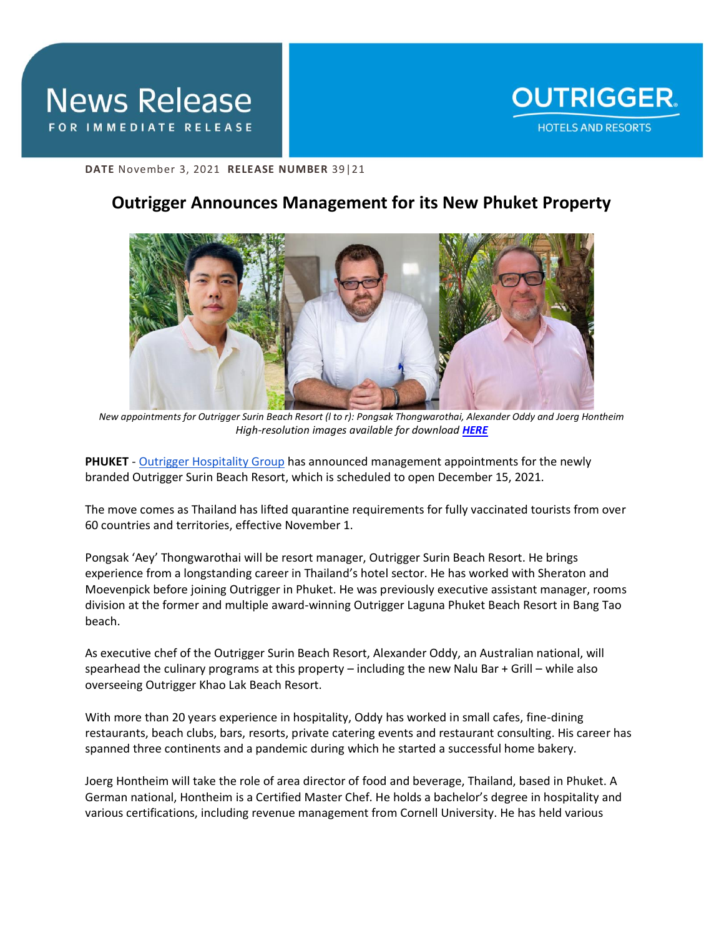

**DATE** November 3, 2021 **RELEASE NUMBER** 39|21

## **Outrigger Announces Management for its New Phuket Property**



*New appointments for Outrigger Surin Beach Resort (l to r): Pongsak Thongwarothai, Alexander Oddy and Joerg Hontheim High-resolution images available for download [HERE](https://app.box.com/s/06l9rle5i0befduj9nne5qiuqzpcsmn9)*

**PHUKET** - [Outrigger Hospitality Group](https://www.outrigger.com/) has announced management appointments for the newly branded Outrigger Surin Beach Resort, which is scheduled to open December 15, 2021.

The move comes as Thailand has lifted quarantine requirements for fully vaccinated tourists from over 60 countries and territories, effective November 1.

Pongsak 'Aey' Thongwarothai will be resort manager, Outrigger Surin Beach Resort. He brings experience from a longstanding career in Thailand's hotel sector. He has worked with Sheraton and Moevenpick before joining Outrigger in Phuket. He was previously executive assistant manager, rooms division at the former and multiple award-winning Outrigger Laguna Phuket Beach Resort in Bang Tao beach.

As executive chef of the Outrigger Surin Beach Resort, Alexander Oddy, an Australian national, will spearhead the culinary programs at this property – including the new Nalu Bar + Grill – while also overseeing Outrigger Khao Lak Beach Resort.

With more than 20 years experience in hospitality, Oddy has worked in small cafes, fine-dining restaurants, beach clubs, bars, resorts, private catering events and restaurant consulting. His career has spanned three continents and a pandemic during which he started a successful home bakery.

Joerg Hontheim will take the role of area director of food and beverage, Thailand, based in Phuket. A German national, Hontheim is a Certified Master Chef. He holds a bachelor's degree in hospitality and various certifications, including revenue management from Cornell University. He has held various